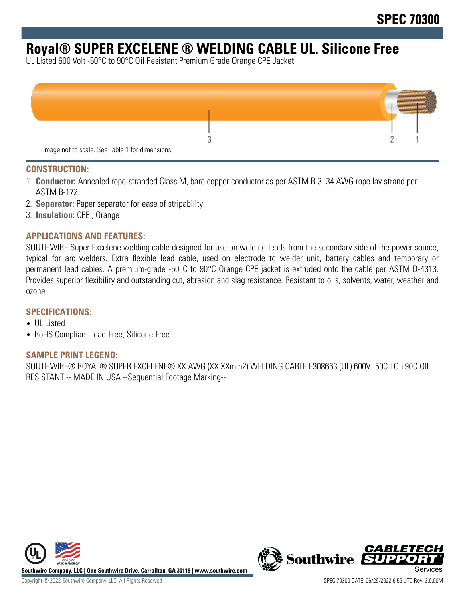# **Royal® SUPER EXCELENE ® WELDING CABLE UL. Silicone Free**

UL Listed 600 Volt -50°C to 90°C Oil Resistant Premium Grade Orange CPE Jacket.



#### **CONSTRUCTION:**

- 1. **Conductor:** Annealed rope-stranded Class M, bare copper conductor as per ASTM B-3. 34 AWG rope lay strand per ASTM B-172.
- 2. **Separator:** Paper separator for ease of stripability
- 3. **Insulation:** CPE , Orange

## **APPLICATIONS AND FEATURES:**

SOUTHWIRE Super Excelene welding cable designed for use on welding leads from the secondary side of the power source, typical for arc welders. Extra flexible lead cable, used on electrode to welder unit, battery cables and temporary or permanent lead cables. A premium-grade -50°C to 90°C Orange CPE jacket is extruded onto the cable per ASTM D-4313. Provides superior flexibility and outstanding cut, abrasion and slag resistance. Resistant to oils, solvents, water, weather and ozone.

#### **SPECIFICATIONS:**

- UL Listed
- RoHS Compliant Lead-Free, Silicone-Free

#### **SAMPLE PRINT LEGEND:**

SOUTHWIRE® ROYAL® SUPER EXCELENE® XX AWG (XX.XXmm2) WELDING CABLE E308663 (UL) 600V -50C TO +90C OIL RESISTANT -- MADE IN USA --Sequential Footage Marking--